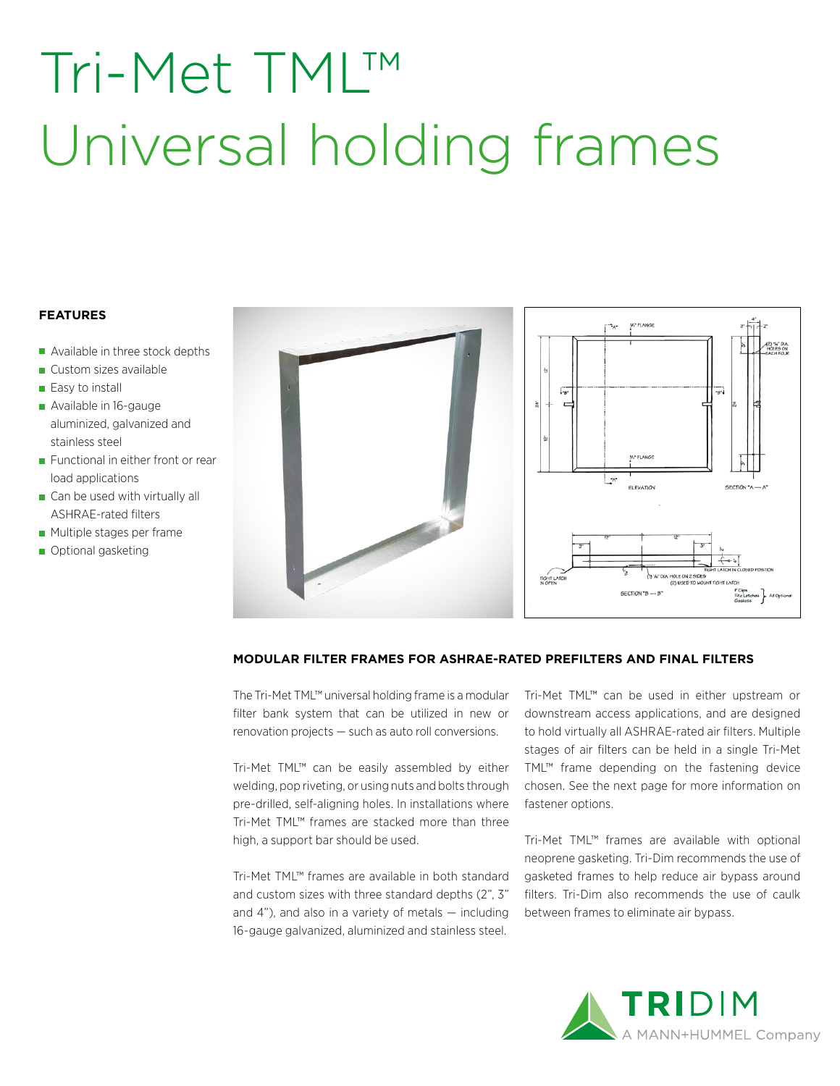# Tri-Met TML™ Universal holding frames

### **FEATURES**

- Available in three stock depths
- Custom sizes available
- Easy to install
- Available in 16-gauge aluminized, galvanized and stainless steel
- Functional in either front or rear load applications
- Can be used with virtually all ASHRAE-rated filters
- **Multiple stages per frame**
- Optional gasketing



#### **MODULAR FILTER FRAMES FOR ASHRAE-RATED PREFILTERS AND FINAL FILTERS**

The Tri-Met TML™ universal holding frame is a modular filter bank system that can be utilized in new or renovation projects — such as auto roll conversions.

Tri-Met TML™ can be easily assembled by either welding, pop riveting, or using nuts and bolts through pre-drilled, self-aligning holes. In installations where Tri-Met TML™ frames are stacked more than three high, a support bar should be used.

Tri-Met TML™ frames are available in both standard and custom sizes with three standard depths (2", 3" and 4"), and also in a variety of metals — including 16-gauge galvanized, aluminized and stainless steel.

Tri-Met TML™ can be used in either upstream or downstream access applications, and are designed to hold virtually all ASHRAE-rated air filters. Multiple stages of air filters can be held in a single Tri-Met TML™ frame depending on the fastening device chosen. See the next page for more information on fastener options.

Tri-Met TML™ frames are available with optional neoprene gasketing. Tri-Dim recommends the use of gasketed frames to help reduce air bypass around filters. Tri-Dim also recommends the use of caulk between frames to eliminate air bypass.